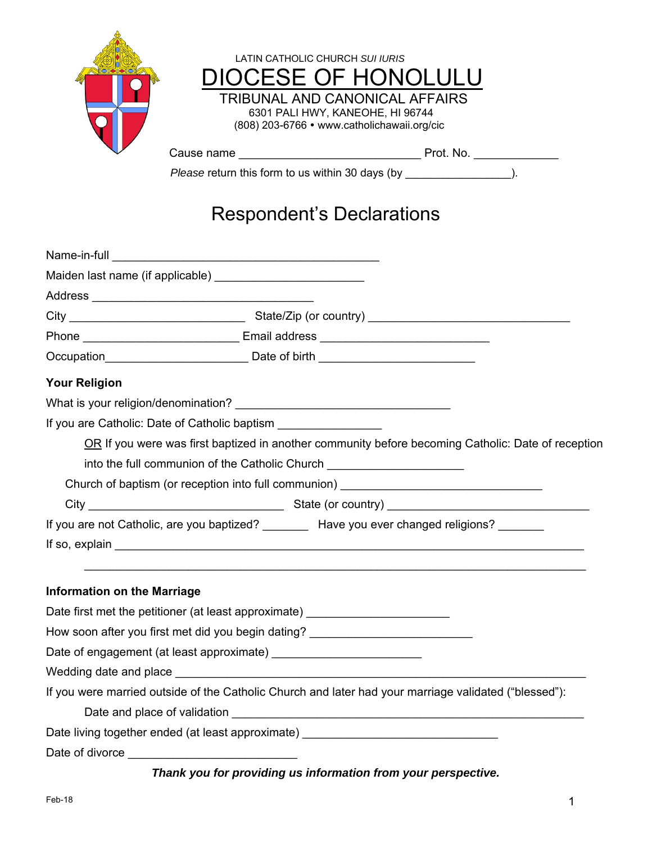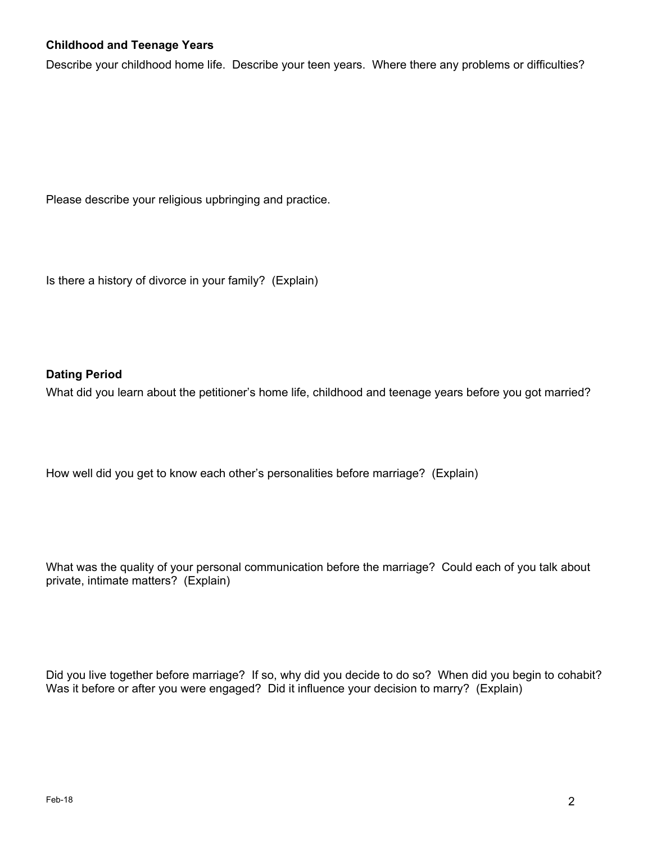## **Childhood and Teenage Years**

Describe your childhood home life. Describe your teen years. Where there any problems or difficulties?

Please describe your religious upbringing and practice.

Is there a history of divorce in your family? (Explain)

#### **Dating Period**

What did you learn about the petitioner's home life, childhood and teenage years before you got married?

How well did you get to know each other's personalities before marriage? (Explain)

What was the quality of your personal communication before the marriage? Could each of you talk about private, intimate matters? (Explain)

Did you live together before marriage? If so, why did you decide to do so? When did you begin to cohabit? Was it before or after you were engaged? Did it influence your decision to marry? (Explain)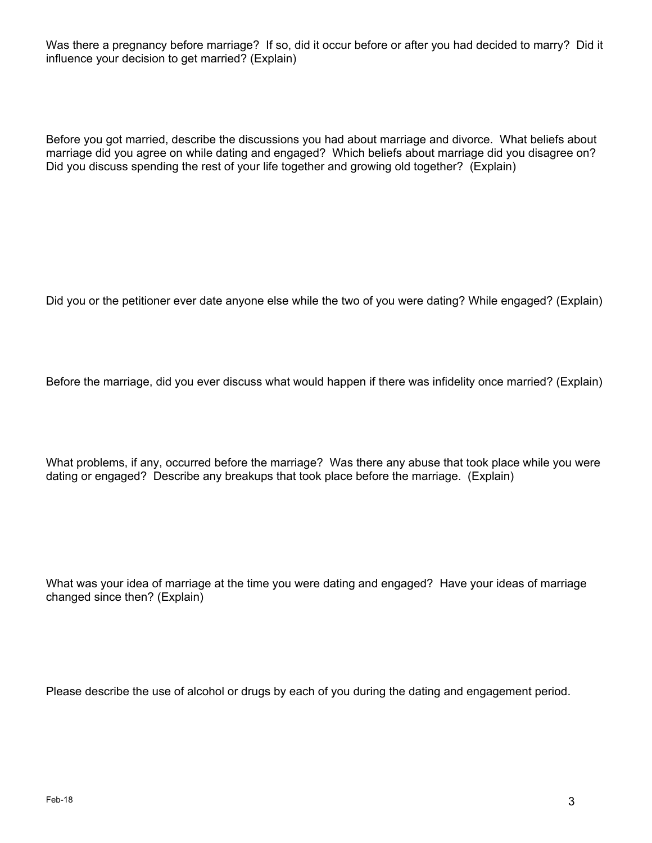Was there a pregnancy before marriage? If so, did it occur before or after you had decided to marry? Did it influence your decision to get married? (Explain)

Before you got married, describe the discussions you had about marriage and divorce. What beliefs about marriage did you agree on while dating and engaged? Which beliefs about marriage did you disagree on? Did you discuss spending the rest of your life together and growing old together? (Explain)

Did you or the petitioner ever date anyone else while the two of you were dating? While engaged? (Explain)

Before the marriage, did you ever discuss what would happen if there was infidelity once married? (Explain)

What problems, if any, occurred before the marriage? Was there any abuse that took place while you were dating or engaged? Describe any breakups that took place before the marriage. (Explain)

What was your idea of marriage at the time you were dating and engaged? Have your ideas of marriage changed since then? (Explain)

Please describe the use of alcohol or drugs by each of you during the dating and engagement period.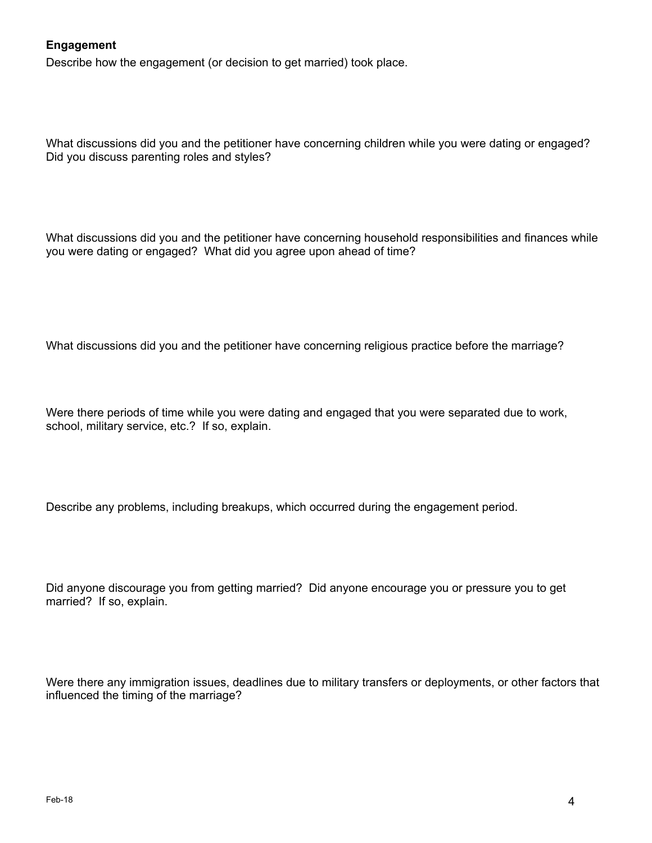#### **Engagement**

Describe how the engagement (or decision to get married) took place.

What discussions did you and the petitioner have concerning children while you were dating or engaged? Did you discuss parenting roles and styles?

What discussions did you and the petitioner have concerning household responsibilities and finances while you were dating or engaged? What did you agree upon ahead of time?

What discussions did you and the petitioner have concerning religious practice before the marriage?

Were there periods of time while you were dating and engaged that you were separated due to work, school, military service, etc.? If so, explain.

Describe any problems, including breakups, which occurred during the engagement period.

Did anyone discourage you from getting married? Did anyone encourage you or pressure you to get married? If so, explain.

Were there any immigration issues, deadlines due to military transfers or deployments, or other factors that influenced the timing of the marriage?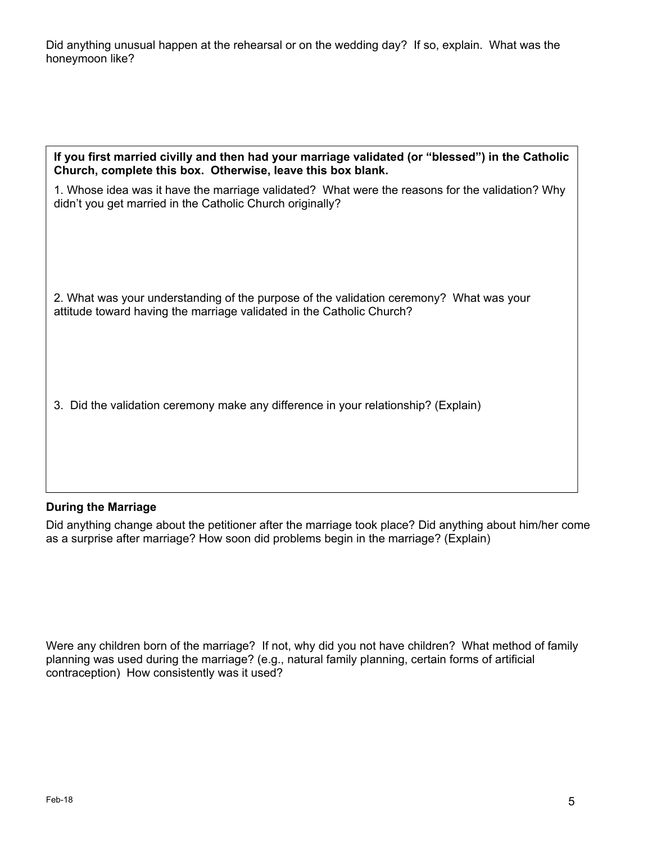Did anything unusual happen at the rehearsal or on the wedding day? If so, explain. What was the honeymoon like?

| If you first married civilly and then had your marriage validated (or "blessed") in the Catholic<br>Church, complete this box. Otherwise, leave this box blank.  |  |  |
|------------------------------------------------------------------------------------------------------------------------------------------------------------------|--|--|
| 1. Whose idea was it have the marriage validated? What were the reasons for the validation? Why<br>didn't you get married in the Catholic Church originally?     |  |  |
| 2. What was your understanding of the purpose of the validation ceremony? What was your<br>attitude toward having the marriage validated in the Catholic Church? |  |  |
| 3. Did the validation ceremony make any difference in your relationship? (Explain)                                                                               |  |  |

### **During the Marriage**

Did anything change about the petitioner after the marriage took place? Did anything about him/her come as a surprise after marriage? How soon did problems begin in the marriage? (Explain)

Were any children born of the marriage? If not, why did you not have children? What method of family planning was used during the marriage? (e.g., natural family planning, certain forms of artificial contraception) How consistently was it used?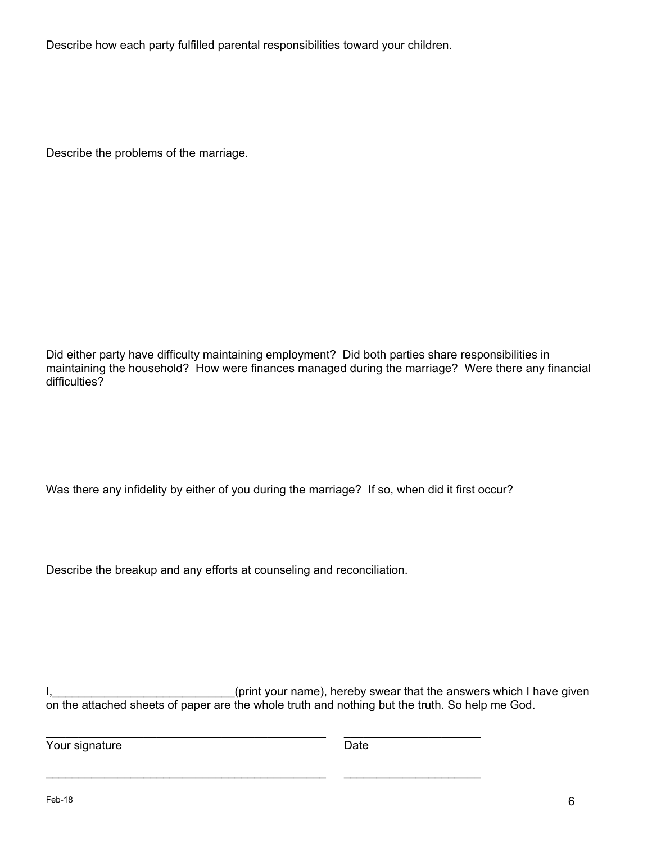Describe how each party fulfilled parental responsibilities toward your children.

Describe the problems of the marriage.

Did either party have difficulty maintaining employment? Did both parties share responsibilities in maintaining the household? How were finances managed during the marriage? Were there any financial difficulties?

Was there any infidelity by either of you during the marriage? If so, when did it first occur?

Describe the breakup and any efforts at counseling and reconciliation.

I, I, Allem Community (interview of the answers which I have given intervals) and the answers which I have given on the attached sheets of paper are the whole truth and nothing but the truth. So help me God.

\_\_\_\_\_\_\_\_\_\_\_\_\_\_\_\_\_\_\_\_\_\_\_\_\_\_\_\_\_\_\_\_\_\_\_\_\_\_\_\_\_\_\_ \_\_\_\_\_\_\_\_\_\_\_\_\_\_\_\_\_\_\_\_\_

 $\frac{1}{2}$  ,  $\frac{1}{2}$  ,  $\frac{1}{2}$  ,  $\frac{1}{2}$  ,  $\frac{1}{2}$  ,  $\frac{1}{2}$  ,  $\frac{1}{2}$  ,  $\frac{1}{2}$  ,  $\frac{1}{2}$  ,  $\frac{1}{2}$  ,  $\frac{1}{2}$  ,  $\frac{1}{2}$  ,  $\frac{1}{2}$  ,  $\frac{1}{2}$  ,  $\frac{1}{2}$  ,  $\frac{1}{2}$  ,  $\frac{1}{2}$  ,  $\frac{1}{2}$  ,  $\frac{1$ 

Your signature Date